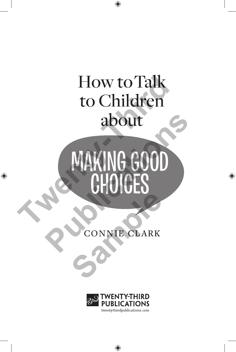## How to Talk to Children about

# NG GOOD CH How to Talk<br>to Children<br>about<br>MAKING GOOD<br>CHOICES READOUT AND CHOICES **SONNIE CLARK**

CONNIE CLARK

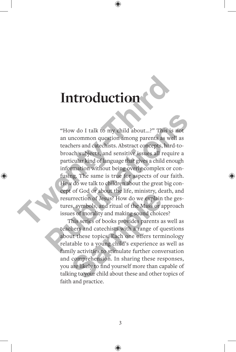## **Introduction**

"How do I talk to my child about…?" This is not an uncommon question among parents as well as teachers and catechists. Abstract concepts, hard-tobroach subjects, and sensitive issues all require a particular kind of language that gives a child enough information without being overly complex or confusing. The same is true for aspects of our faith. How do we talk to children about the great big concept of God or about the life, ministry, death, and resurrection of Jesus? How do we explain the gestures, symbols, and ritual of the Mass or approach issues of morality and making sound choices? **Introduction**<br>
"How do I talk to my child about...?" This is r<br>
an uncommon question among parents as well<br>
teachers and catechists. Abstract concepts, hard-<br>
broach subjects, and sensitive issues all requir<br>
particular k "How do I talk to my child about...?" This is not<br>an uncommon question among parents as well as<br>teachers and catechists. Abstract concepts, hard-to-<br>broach subjects, and sensitive issues all require a<br>particular kind of la

This series of books provides parents as well as teachers and catechists with a range of questions about these topics. Each one offers terminology relatable to a young child's experience as well as family activities to stimulate further conversation and comprehension. In sharing these responses, you are likely to find yourself more than capable of talking to your child about these and other topics of faith and practice. For exact of about the fire, immatry, according to explain the fire, immatry, according to the Mass or a<br>ses of morality and making sound choic<br>this series of books provides parents a<br>thers and catechists with a range of q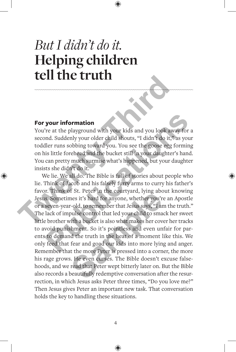### *But I didn't do it.* **Helping children tell the truth**

#### **For your information**

You're at the playground with your kids and you look away for a second. Suddenly your older child shouts, "I didn't do it," as your toddler runs sobbing toward you. You see the goose egg forming on his little forehead and the bucket still in your daughter's hand. You can pretty much surmise what's happened, but your daughter insists she didn't do it.

We lie. We all do. The Bible is full of stories about people who lie. Think of Jacob and his falsely furry arms to curry his father's favor. Think of St. Peter in the courtyard, lying about knowing Jesus. Sometimes it's hard for anyone, whether you're an Apostle or a seven-year-old, to remember that Jesus says, "I am the truth." The lack of impulse control that led your child to smack her sweet little brother with a bucket is also what makes her cover her tracks to avoid punishment. So it's pointless and even unfair for parents to demand the truth in the heat of a moment like this. We only feed that fear and goad our kids into more lying and anger. Remember that the more Peter is pressed into a corner, the more his rage grows. He even curses. The Bible doesn't excuse falsehoods, and we read that Peter wept bitterly later on. But the Bible also records a beautifully redemptive conversation after the resurrection, in which Jesus asks Peter three times, "Do you love me?" Then Jesus gives Peter an important new task. That conversation holds the key to handling these situations. **The Case of the Case of the School and School and School and School and School and School and School and School and School and School and School and School and School and The Unit of the School and the bucket still in you your information**<br>
Yes at the playground with your kids and you look away for a<br>
Ind. Suddenly your older child shouts, "I didn't do it," as your<br>
Iler runs sobbing toward you. You see the goose egg forming<br>
is little for For Freehoff the county and, sying about the right of the county of the right<br>c-old, to remember that Jesus says, "I are control that led your child to small<br>with a bucket is also what makes her covers the proof of the tru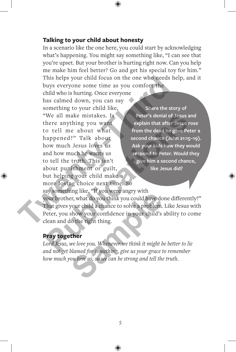#### **Talking to your child about honesty**

In a scenario like the one here, you could start by acknowledging what's happening. You might say something like, "I can see that you're upset. But your brother is hurting right now. Can you help me make him feel better? Go and get his special toy for him." This helps your child focus on the one who needs help, and it buys everyone some time as you comfort the

child who is hurting. Once everyone has calmed down, you can say something to your child like, "We all make mistakes. Is there anything you want to tell me about what happened?" Talk about how much Jesus loves us and how much he wants us to tell the truth. This isn't about punishment or guilt, but helping your child make a more loving choice next time. So say something like, "If you were angry with your brother, what do you think you could have done differently?" That gives your child a chance to solve a problem. Like Jesus with Peter, you show your confidence in your child's ability to come clean and do the right thing. **Share the story of Peter's denial of Jesus and explain that after Jesus rose from the dead he gave Peter a second chance (John 21:15–19). Ask your kids how they would respond to Peter. Would they give him a second chance, like Jesus did?** This helps your child focus on the one who needs he<br>buys everyone some time as you comfort the<br>child who is hurting. Once everyone<br>has calmed down, you can say<br>something to your child like.<br>"We all make mistakes. Is<br>"We al From the distance of Jesus and there anything you want<br>
You tell me about what<br>
in that after Jesus ross<br>
from the dead he gave Peter<br>
second chance (John 21:15–19<br>
now much Jesus loves us<br>
the truth. This isn't<br>
second to Figures, the you were angly with<br>example the set of the specific specifical and the view of the right thing.<br>Show your confidence in your child's<br>lot the right thing.<br>**ther**<br>we love you. Whenever we think it might b<br>blamed

#### **Pray together**

*Lord Jesus, we love you. Whenever we think it might be better to lie and not get blamed for something, give us your grace to remember how much you love us, so we can be strong and tell the truth.*